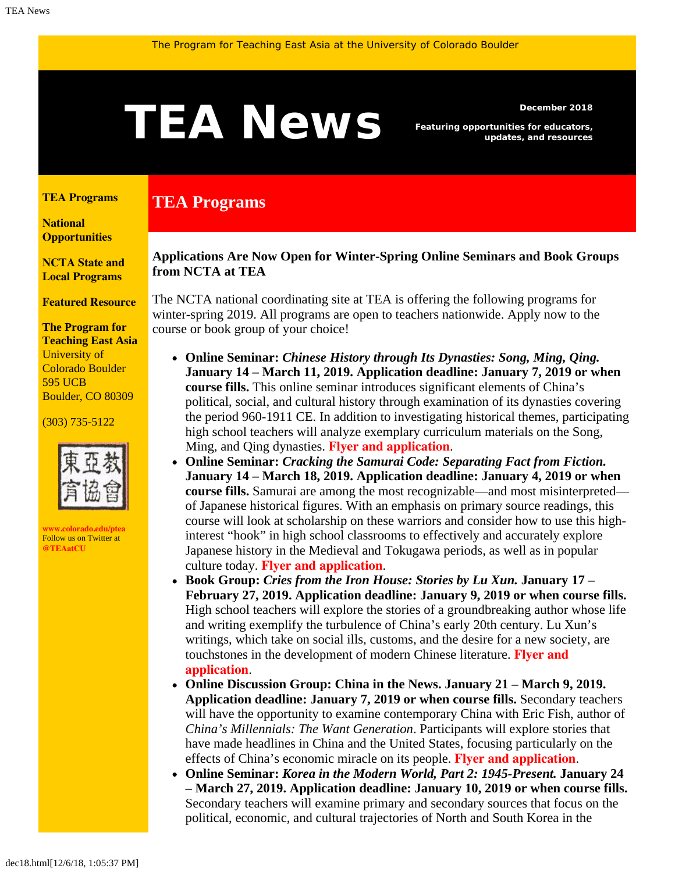# <span id="page-0-1"></span>**TEAN BUS** Featuring opportunities for educators,

**TEA Programs**

*Featuring opportunities for educators, updates, and resources*

#### <span id="page-0-0"></span>**[TEA Programs](#page-0-0)**

**[National](#page-0-1)  [Opportunities](#page-0-1)**

**[NCTA State and](#page-2-0) [Local Programs](#page-2-0)**

**[Featured Resource](#page-3-0)**

**The Program for Teaching East Asia** University of Colorado Boulder 595 UCB Boulder, CO 80309

#### (303) 735-5122



**[www.colorado.edu/ptea](http://www.colorado.edu/cas/tea)** Follow us on Twitter at **[@TEAatCU](https://twitter.com/TEAatCU)**

### **Applications Are Now Open for Winter-Spring Online Seminars and Book Groups from NCTA at TEA**

The NCTA national coordinating site at TEA is offering the following programs for winter-spring 2019. All programs are open to teachers nationwide. Apply now to the course or book group of your choice!

- **Online Seminar:** *Chinese History through Its Dynasties: Song, Ming, Qing.* **January 14 – March 11, 2019. Application deadline: January 7, 2019 or when course fills.** This online seminar introduces significant elements of China's political, social, and cultural history through examination of its dynasties covering the period 960-1911 CE. In addition to investigating historical themes, participating high school teachers will analyze exemplary curriculum materials on the Song, Ming, and Qing dynasties. **[Flyer and application](https://www.colorado.edu/ptea/sites/default/files/attached-files/chinadynasties19_0.pdf)**.
- **Online Seminar:** *Cracking the Samurai Code: Separating Fact from Fiction.* **January 14 – March 18, 2019. Application deadline: January 4, 2019 or when course fills.** Samurai are among the most recognizable—and most misinterpreted of Japanese historical figures. With an emphasis on primary source readings, this course will look at scholarship on these warriors and consider how to use this highinterest "hook" in high school classrooms to effectively and accurately explore Japanese history in the Medieval and Tokugawa periods, as well as in popular culture today. **[Flyer and application](https://www.colorado.edu/ptea/sites/default/files/attached-files/samuraiflyer192.pdf)**.
- **Book Group:** *Cries from the Iron House: Stories by Lu Xun.* **January 17 – February 27, 2019. Application deadline: January 9, 2019 or when course fills.** High school teachers will explore the stories of a groundbreaking author whose life and writing exemplify the turbulence of China's early 20th century. Lu Xun's writings, which take on social ills, customs, and the desire for a new society, are touchstones in the development of modern Chinese literature. **[Flyer and](https://www.colorado.edu/ptea/sites/default/files/attached-files/luxunwinter19.pdf) [application](https://www.colorado.edu/ptea/sites/default/files/attached-files/luxunwinter19.pdf)**.
- **Online Discussion Group: China in the News. January 21 March 9, 2019. Application deadline: January 7, 2019 or when course fills.** Secondary teachers will have the opportunity to examine contemporary China with Eric Fish, author of *China's Millennials: The Want Generation*. Participants will explore stories that have made headlines in China and the United States, focusing particularly on the effects of China's economic miracle on its people. **[Flyer and application](https://www.colorado.edu/ptea/sites/default/files/attached-files/china_news_winter2019.pdf)**.
- **Online Seminar:** *Korea in the Modern World, Part 2: 1945-Present.* **January 24 – March 27, 2019. Application deadline: January 10, 2019 or when course fills.** Secondary teachers will examine primary and secondary sources that focus on the political, economic, and cultural trajectories of North and South Korea in the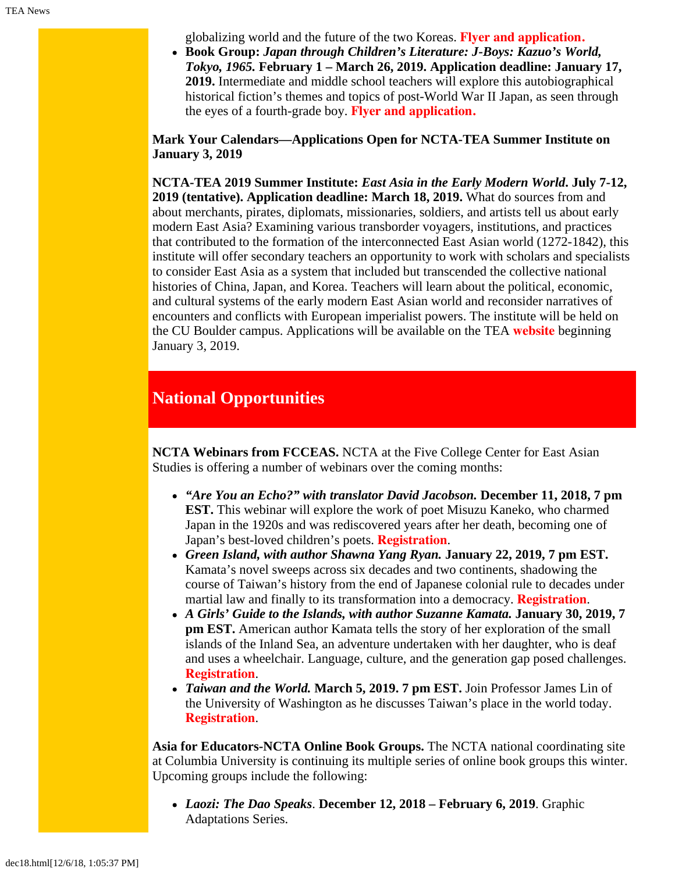globalizing world and the future of the two Koreas. **[Flyer and application.](https://www.colorado.edu/ptea/sites/default/files/attached-files/2019koreacoursepart2flyer.pdf)**

**Book Group:** *Japan through Children's Literature: J-Boys: Kazuo's World, Tokyo, 1965.* **February 1 – March 26, 2019. Application deadline: January 17, 2019.** Intermediate and middle school teachers will explore this autobiographical historical fiction's themes and topics of post-World War II Japan, as seen through the eyes of a fourth-grade boy. **[Flyer and application.](https://www.colorado.edu/ptea/sites/default/files/attached-files/ws2019jpkidlitbgflyer.pdf)**

**Mark Your Calendars—Applications Open for NCTA-TEA Summer Institute on January 3, 2019**

**NCTA-TEA 2019 Summer Institute:** *East Asia in the Early Modern World***. July 7-12, 2019 (tentative). Application deadline: March 18, 2019.** What do sources from and about merchants, pirates, diplomats, missionaries, soldiers, and artists tell us about early modern East Asia? Examining various transborder voyagers, institutions, and practices that contributed to the formation of the interconnected East Asian world (1272-1842), this institute will offer secondary teachers an opportunity to work with scholars and specialists to consider East Asia as a system that included but transcended the collective national histories of China, Japan, and Korea. Teachers will learn about the political, economic, and cultural systems of the early modern East Asian world and reconsider narratives of encounters and conflicts with European imperialist powers. The institute will be held on the CU Boulder campus. Applications will be available on the TEA **[website](http://www.colorado.edu/ptea)** beginning January 3, 2019.

## **National Opportunities**

**NCTA Webinars from FCCEAS.** NCTA at the Five College Center for East Asian Studies is offering a number of webinars over the coming months:

- *"Are You an Echo?" with translator David Jacobson.* **December 11, 2018, 7 pm EST.** This webinar will explore the work of poet Misuzu Kaneko, who charmed Japan in the 1920s and was rediscovered years after her death, becoming one of Japan's best-loved children's poets. **[Registration](https://register.gotowebinar.com/register/3881429272156123906?utm_source=October+22%2C+2018&utm_campaign=FCCEAS+e-bulletin&utm_medium=email)**.
- *Green Island, with author Shawna Yang Ryan.* **January 22, 2019, 7 pm EST.** Kamata's novel sweeps across six decades and two continents, shadowing the course of Taiwan's history from the end of Japanese colonial rule to decades under martial law and finally to its transformation into a democracy. **[Registration](https://register.gotowebinar.com/register/8974507870608552451)**.
- *A Girls' Guide to the Islands, with author Suzanne Kamata.* **January 30, 2019, 7 pm EST.** American author Kamata tells the story of her exploration of the small islands of the Inland Sea, an adventure undertaken with her daughter, who is deaf and uses a wheelchair. Language, culture, and the generation gap posed challenges. **[Registration](https://attendee.gotowebinar.com/register/4570052306360141313)**.
- *Taiwan and the World.* **March 5, 2019. 7 pm EST.** Join Professor James Lin of the University of Washington as he discusses Taiwan's place in the world today. **[Registration](https://register.gotowebinar.com/register/6175470123094257155)**.

**Asia for Educators-NCTA Online Book Groups.** The NCTA national coordinating site at Columbia University is continuing its multiple series of online book groups this winter. Upcoming groups include the following:

*Laozi: The Dao Speaks*. **December 12, 2018 – February 6, 2019**. Graphic Adaptations Series.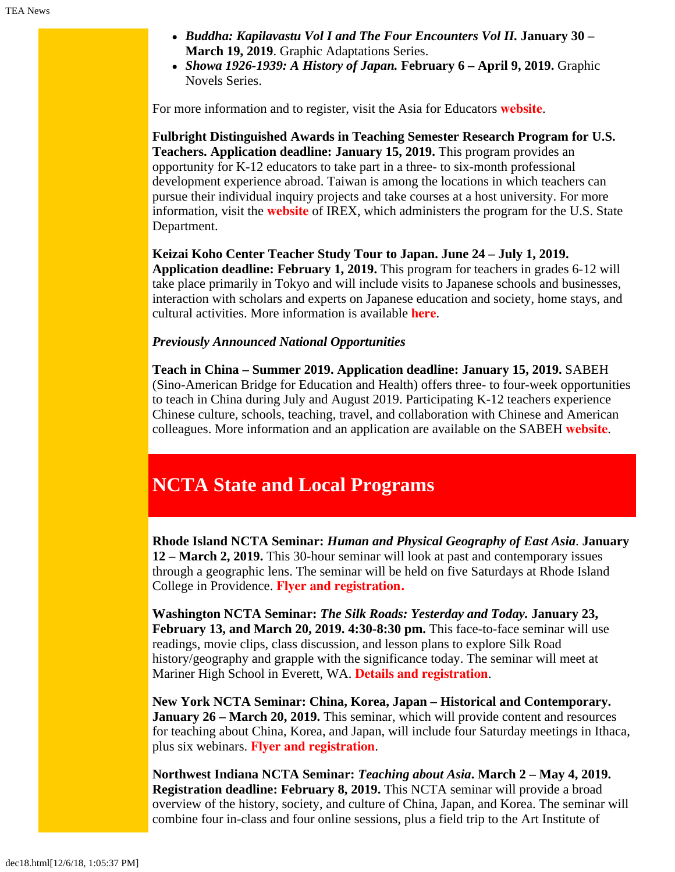- *Buddha: Kapilavastu Vol I and The Four Encounters Vol II.* **January 30 – March 19, 2019**. Graphic Adaptations Series.
- *Showa 1926-1939: A History of Japan.* **February 6 April 9, 2019.** Graphic Novels Series.

For more information and to register, visit the Asia for Educators **[website](http://asiaforeducators.org/course/index.php?categoryid=41)**.

**Fulbright Distinguished Awards in Teaching Semester Research Program for U.S. Teachers. Application deadline: January 15, 2019.** This program provides an opportunity for K-12 educators to take part in a three- to six-month professional development experience abroad. Taiwan is among the locations in which teachers can pursue their individual inquiry projects and take courses at a host university. For more information, visit the **[website](https://www.irex.org/project/fulbright-distinguished-awards-teaching-semester-research-program-us-teachers)** of IREX, which administers the program for the U.S. State Department.

**Keizai Koho Center Teacher Study Tour to Japan. June 24 – July 1, 2019. Application deadline: February 1, 2019.** This program for teachers in grades 6-12 will take place primarily in Tokyo and will include visits to Japanese schools and businesses, interaction with scholars and experts on Japanese education and society, home stays, and cultural activities. More information is available **[here](http://www.us-japan.org/programs/kkc/k2019/index.html)**.

#### *Previously Announced National Opportunities*

**Teach in China – Summer 2019. Application deadline: January 15, 2019.** SABEH (Sino-American Bridge for Education and Health) offers three- to four-week opportunities to teach in China during July and August 2019. Participating K-12 teachers experience Chinese culture, schools, teaching, travel, and collaboration with Chinese and American colleagues. More information and an application are available on the SABEH **[website](http://www.sabeh.org/teach-in-china)**.

# <span id="page-2-0"></span>**NCTA State and Local Programs**

**Rhode Island NCTA Seminar:** *Human and Physical Geography of East Asia*. **January 12 – March 2, 2019.** This 30-hour seminar will look at past and contemporary issues through a geographic lens. The seminar will be held on five Saturdays at Rhode Island College in Providence. **[Flyer and registration.](https://www.fivecolleges.edu/system/files/attachments/2018-2019%20NCTA%20Rhode%20Island%20seminar%20flyer.pdf)**

**Washington NCTA Seminar:** *The Silk Roads: Yesterday and Today.* **January 23, February 13, and March 20, 2019. 4:30-8:30 pm.** This face-to-face seminar will use readings, movie clips, class discussion, and lesson plans to explore Silk Road history/geography and grapple with the significance today. The seminar will meet at Mariner High School in Everett, WA. **[Details and registration](https://jsis.washington.edu/earc/silkroad-everett/)**.

**New York NCTA Seminar: China, Korea, Japan – Historical and Contemporary. January 26 – March 20, 2019.** This seminar, which will provide content and resources for teaching about China, Korea, and Japan, will include four Saturday meetings in Ithaca, plus six webinars. **[Flyer and registration](https://www.fivecolleges.edu/system/files/attachments/NCTA%202019%20Ithaca%20Seminar%20flyer%20and%20application.pdf)**.

**Northwest Indiana NCTA Seminar:** *Teaching about Asia***. March 2 – May 4, 2019. Registration deadline: February 8, 2019.** This NCTA seminar will provide a broad overview of the history, society, and culture of China, Japan, and Korea. The seminar will combine four in-class and four online sessions, plus a field trip to the Art Institute of